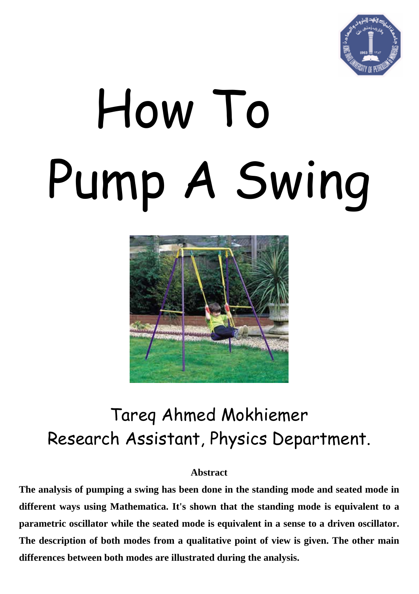

# How To Pump A Swing



# Tareq Ahmed Mokhiemer Research Assistant, Physics Department.

#### **Abstract**

**The analysis of pumping a swing has been done in the standing mode and seated mode in different ways using Mathematica. It's shown that the standing mode is equivalent to a parametric oscillator while the seated mode is equivalent in a sense to a driven oscillator. The description of both modes from a qualitative point of view is given. The other main differences between both modes are illustrated during the analysis.**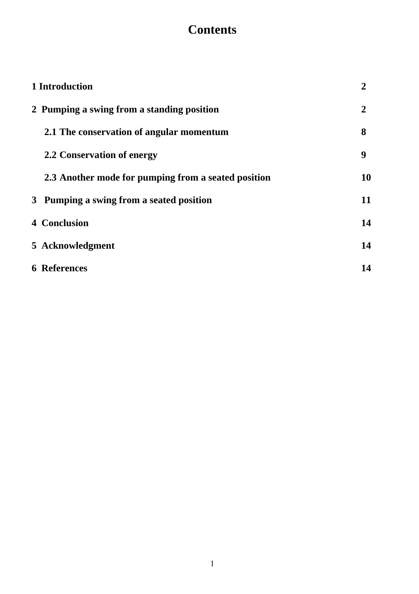# **Contents**

| 1 Introduction                                      |                |
|-----------------------------------------------------|----------------|
| 2 Pumping a swing from a standing position          | $\overline{2}$ |
| 2.1 The conservation of angular momentum            | 8              |
| 2.2 Conservation of energy                          | 9              |
| 2.3 Another mode for pumping from a seated position | 10             |
| 3 Pumping a swing from a seated position            | 11             |
| <b>4 Conclusion</b>                                 | 14             |
| 5 Acknowledgment                                    | 14             |
| <b>6</b> References                                 | 14             |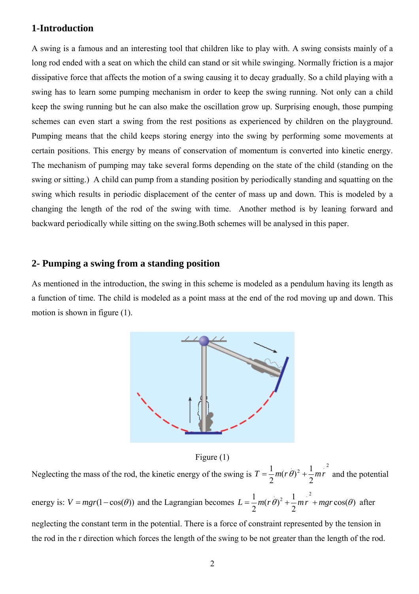#### **1-Introduction**

A swing is a famous and an interesting tool that children like to play with. A swing consists mainly of a long rod ended with a seat on which the child can stand or sit while swinging. Normally friction is a major dissipative force that affects the motion of a swing causing it to decay gradually. So a child playing with a swing has to learn some pumping mechanism in order to keep the swing running. Not only can a child keep the swing running but he can also make the oscillation grow up. Surprising enough, those pumping schemes can even start a swing from the rest positions as experienced by children on the playground. Pumping means that the child keeps storing energy into the swing by performing some movements at certain positions. This energy by means of conservation of momentum is converted into kinetic energy. The mechanism of pumping may take several forms depending on the state of the child (standing on the swing or sitting.) A child can pump from a standing position by periodically standing and squatting on the swing which results in periodic displacement of the center of mass up and down. This is modeled by a changing the length of the rod of the swing with time. Another method is by leaning forward and backward periodically while sitting on the swing.Both schemes will be analysed in this paper.

#### **2- Pumping a swing from a standing position**

As mentioned in the introduction, the swing in this scheme is modeled as a pendulum having its length as a function of time. The child is modeled as a point mass at the end of the rod moving up and down. This motion is shown in figure (1).



Figure (1)

Neglecting the mass of the rod, the kinetic energy of the swing is  $T = \frac{1}{2}m(r\theta)^2 + \frac{1}{2}mr^2$  $T = \frac{1}{2}m(r\theta)^2 + \frac{1}{2}mr^2$  and the potential energy is:  $V = mgr(1 - \cos(\theta))$  and the Lagrangian becomes  $L = \frac{1}{2}m(r\theta)^2 + \frac{1}{2}mr^2 + mgr\cos(\theta)$  after neglecting the constant term in the potential. There is a force of constraint represented by the tension in the rod in the r direction which forces the length of the swing to be not greater than the length of the rod.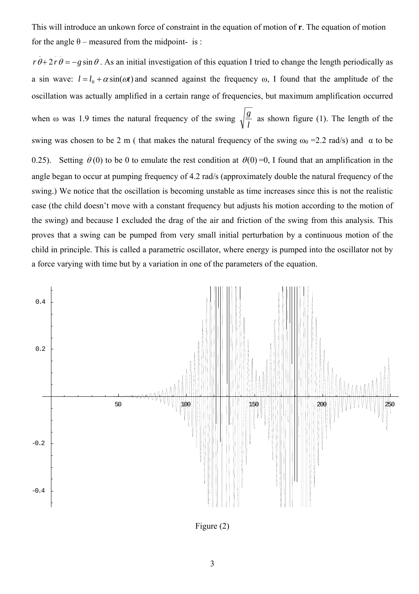This will introduce an unkown force of constraint in the equation of motion of **r**. The equation of motion for the angle  $\theta$  – measured from the midpoint- is :

 $r \theta + 2r \theta = -g \sin \theta$ . As an initial investigation of this equation I tried to change the length periodically as a sin wave:  $l = l_0 + \alpha \sin(\omega t)$  and scanned against the frequency  $\omega$ , I found that the amplitude of the oscillation was actually amplified in a certain range of frequencies, but maximum amplification occurred when  $\omega$  was 1.9 times the natural frequency of the swing  $\sqrt{\frac{g}{l}}$  as shown figure (1). The length of the swing was chosen to be 2 m ( that makes the natural frequency of the swing  $\omega_0 = 2.2$  rad/s) and  $\alpha$  to be 0.25). Setting  $\theta(0)$  to be 0 to emulate the rest condition at  $\theta(0)=0$ , I found that an amplification in the angle began to occur at pumping frequency of 4.2 rad/s (approximately double the natural frequency of the swing.) We notice that the oscillation is becoming unstable as time increases since this is not the realistic case (the child doesn't move with a constant frequency but adjusts his motion according to the motion of the swing) and because I excluded the drag of the air and friction of the swing from this analysis. This proves that a swing can be pumped from very small initial perturbation by a continuous motion of the child in principle. This is called a parametric oscillator, where energy is pumped into the oscillator not by a force varying with time but by a variation in one of the parameters of the equation.



Figure (2)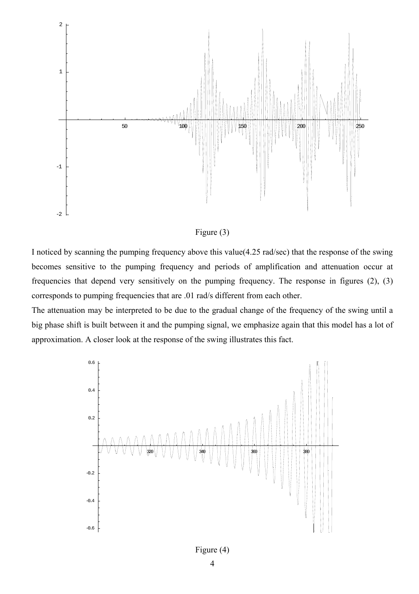



I noticed by scanning the pumping frequency above this value(4.25 rad/sec) that the response of the swing becomes sensitive to the pumping frequency and periods of amplification and attenuation occur at frequencies that depend very sensitively on the pumping frequency. The response in figures (2), (3) corresponds to pumping frequencies that are .01 rad/s different from each other.

The attenuation may be interpreted to be due to the gradual change of the frequency of the swing until a big phase shift is built between it and the pumping signal, we emphasize again that this model has a lot of approximation. A closer look at the response of the swing illustrates this fact.

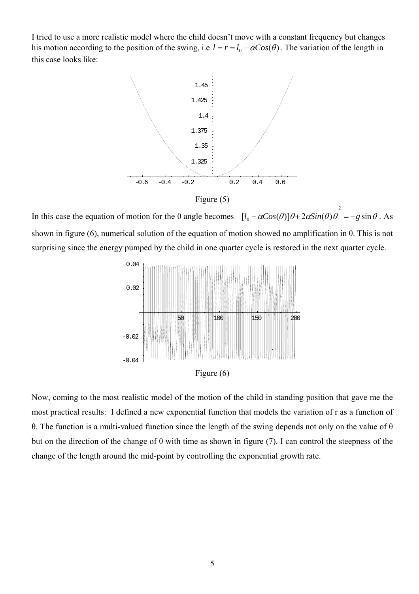I tried to use a more realistic model where the child doesn't move with a constant frequency but changes his motion according to the position of the swing, i.e  $l = r = l_0 - \alpha Cos(\theta)$ . The variation of the length in this case looks like:



Figure (5)

In this case the equation of motion for the  $\theta$  angle becomes  $[l_0 - \alpha Cos(\theta)]\theta + 2\alpha Sin(\theta)\theta = -g \sin \theta$ . As shown in figure (6), numerical solution of the equation of motion showed no amplification in θ. This is not surprising since the energy pumped by the child in one quarter cycle is restored in the next quarter cycle.  $\sim$  .  $\sim$  .  $\sim$  .  $\sim$  .  $\sim$  .  $\sim$  .  $\sim$  .  $\sim$  .  $\sim$  .  $\sim$  .  $\sim$  .  $\sim$  .  $\sim$  .  $\sim$  .  $\sim$  .  $\sim$  .  $\sim$  .  $\sim$  .  $\sim$  .  $\sim$  .  $\sim$  .  $\sim$  .  $\sim$  .  $\sim$  .  $\sim$  .  $\sim$  .  $\sim$  .  $\sim$  .  $\sim$  .  $\sim$  .  $\sim$  .  $\sim$  $l_0 - \alpha Cos(\theta)\theta + 2\alpha Sin(\theta)\theta = -g$ 



Now, coming to the most realistic model of the motion of the child in standing position that gave me the most practical results: I defined a new exponential function that models the variation of r as a function of θ. The function is a multi-valued function since the length of the swing depends not only on the value of θ but on the direction of the change of  $\theta$  with time as shown in figure (7). I can control the steepness of the change of the length around the mid-point by controlling the exponential growth rate.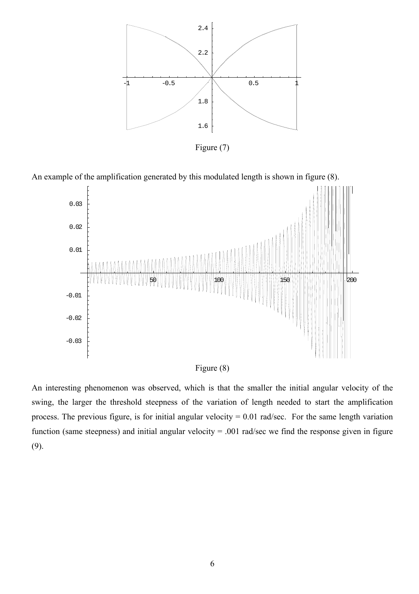

Figure (7)

An example of the amplification generated by this modulated length is shown in figure (8).





An interesting phenomenon was observed, which is that the smaller the initial angular velocity of the swing, the larger the threshold steepness of the variation of length needed to start the amplification process. The previous figure, is for initial angular velocity  $= 0.01$  rad/sec. For the same length variation function (same steepness) and initial angular velocity = .001 rad/sec we find the response given in figure (9).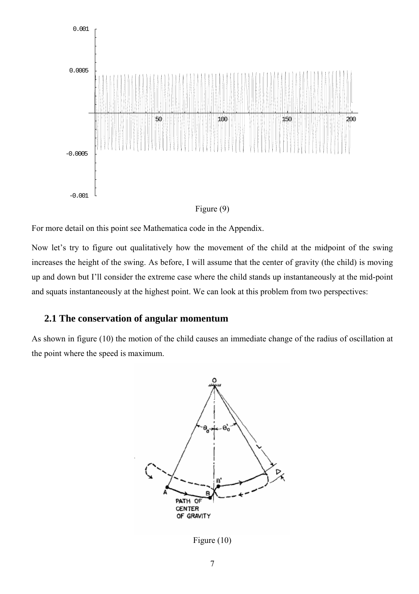



For more detail on this point see Mathematica code in the Appendix.

Now let's try to figure out qualitatively how the movement of the child at the midpoint of the swing increases the height of the swing. As before, I will assume that the center of gravity (the child) is moving up and down but I'll consider the extreme case where the child stands up instantaneously at the mid-point and squats instantaneously at the highest point. We can look at this problem from two perspectives:

#### **2.1 The conservation of angular momentum**

As shown in figure (10) the motion of the child causes an immediate change of the radius of oscillation at the point where the speed is maximum.



Figure (10)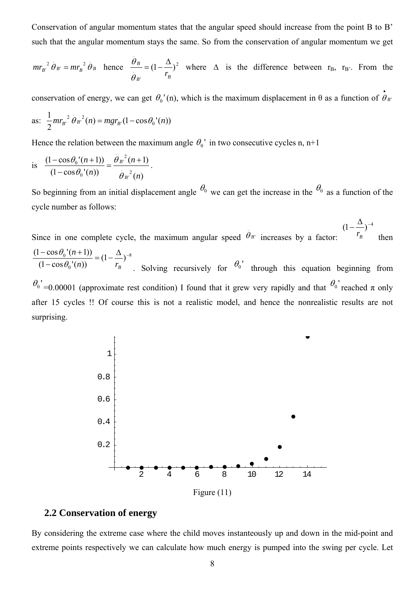Conservation of angular momentum states that the angular speed should increase from the point B to B' such that the angular momentum stays the same. So from the conservation of angular momentum we get

$$
mr_{B'}^{2} \theta_{B'} = mr_{B}^{2} \theta_{B}
$$
 hence  $\frac{\theta_B}{\theta_B} = (1 - \frac{\Delta}{r_B})^2$  where  $\Delta$  is the difference between  $r_B$ ,  $r_B$ . From the

conservation of energy, we can get  $\theta_0$ '(n), which is the maximum displacement in  $\theta$  as a function of  $\theta_{B'}$ • θ

as: 
$$
\frac{1}{2}mr_{B'}^{2}\theta_{B'}^{2}(n) = mgr_{B'}(1-\cos\theta_{0'}(n))
$$

.

Hence the relation between the maximum angle  $\theta_0$ ' in two consecutive cycles n, n+1

is 
$$
\frac{(1-\cos\theta_0'(n+1))}{(1-\cos\theta_0'(n))} = \frac{\theta_B^{2}(n+1)}{\theta_B^{2}(n)}.
$$

surprising.

So beginning from an initial displacement angle  $\theta_0$  we can get the increase in the  $\theta_0$  as a function of the cycle number as follows:

Since in one complete cycle, the maximum angular speed  $\theta_{B'}$  increases by a factor: .  $\theta$ <sub>B</sub>  $(1 - \frac{\Delta}{\cdot})^{-4}$  $r_B$ <sup>'</sup> then 8  $\frac{(1-\cos\theta_0'(n+1))}{(1-\cos\theta_0'(n))} = (1-\frac{\Delta}{r_B})^{-1}$ *n*))  $r_B$ *n* θ θ . Solving recursively for  $\theta_0$  through this equation beginning from  $\theta_0$  =0.00001 (approximate rest condition) I found that it grew very rapidly and that  $\theta_0$  reached  $\pi$  only after 15 cycles !! Of course this is not a realistic model, and hence the nonrealistic results are not



## **2.2 Conservation of energy**

By considering the extreme case where the child moves instanteously up and down in the mid-point and extreme points respectively we can calculate how much energy is pumped into the swing per cycle. Let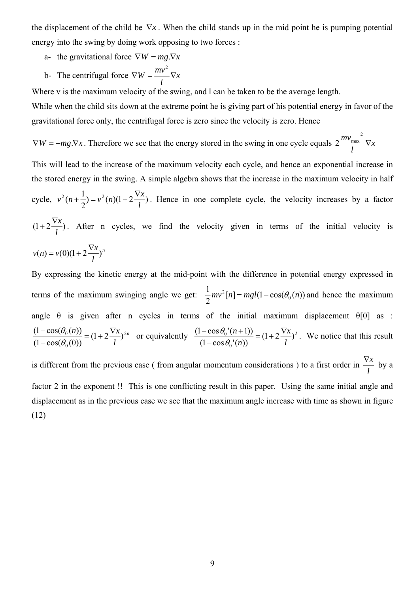the displacement of the child be  $\nabla x$ . When the child stands up in the mid point he is pumping potential energy into the swing by doing work opposing to two forces :

- a- the gravitational force  $\nabla W = mg \cdot \nabla x$
- b- The centrifugal force  $\nabla W = \frac{mv}{\hbar} \nabla x$ *l*  $\nabla W = \frac{mv^2}{I} \nabla$

Where v is the maximum velocity of the swing, and l can be taken to be the average length.

While when the child sits down at the extreme point he is giving part of his potential energy in favor of the gravitational force only, the centrifugal force is zero since the velocity is zero. Hence

 $\nabla W = -mg \cdot \nabla x$ . Therefore we see that the energy stored in the swing in one cycle equals  $2 \frac{mv_{\text{max}}}{m} \nabla x$ *l*  $\frac{mv_{\text{max}}^2}{\sqrt{2}}$  $2\frac{m v_{\text{max}}}{\sigma}$ 

This will lead to the increase of the maximum velocity each cycle, and hence an exponential increase in the stored energy in the swing. A simple algebra shows that the increase in the maximum velocity in half cycle,  $v^2(n+\frac{1}{2}) = v^2(n)(1+2\frac{\nabla x}{l})$ *l*  $v^2(n+\frac{1}{2}) = v^2(n)(1+2\frac{\nabla x}{n})$ . Hence in one complete cycle, the velocity increases by a factor  $(1+2\frac{\nabla x}{l})$ . After n cycles, we find the velocity given in terms of the initial velocity is *n l*  $v(n) = v(0)(1 + 2\frac{\nabla x}{\cdot})$ 

By expressing the kinetic energy at the mid-point with the difference in potential energy expressed in terms of the maximum swinging angle we get:  $\frac{1}{2}mv^2[n] = mgl(1 - \cos(\theta_0(n))$ 0  $mv^2[n] = mgl(1-\cos(\theta_0(n))$  and hence the maximum angle  $\theta$  is given after n cycles in terms of the initial maximum displacement  $\theta$ [0] as : *n l n*))  $(1 + 2\sqrt{x})^2$  $\frac{(1-\cos(\theta_0(n)))}{(1-\cos(\theta_0(0)))} = (1+2\frac{\nabla x}{l})$  $\frac{\theta_0(n)}{\theta_0(0)} = (1 + 2\frac{\nabla x}{l})^{2n}$  or equivalently  $\frac{(1 - \cos\theta_0'(n+1))}{(1 - \cos\theta_0'(n))} = (1 + 2\frac{\nabla x}{l})^2$  $\frac{(1-\cos\theta_0'(n+1))}{(1-\cos\theta_0'(n))} = (1+2\frac{\nabla x}{l})$ *l x*  $\frac{(n-1)(n-1)}{(1-\cos\theta_0'(n))} = (1+2\frac{\nabla}{l})$  $\frac{\theta_0'(n+1)}{n!} = (1 + 2\frac{\nabla x}{l})^2$ . We notice that this result is different from the previous case ( from angular momentum considerations ) to a first order in  $\frac{\nabla x}{l}$  by a

factor 2 in the exponent !! This is one conflicting result in this paper. Using the same initial angle and displacement as in the previous case we see that the maximum angle increase with time as shown in figure (12)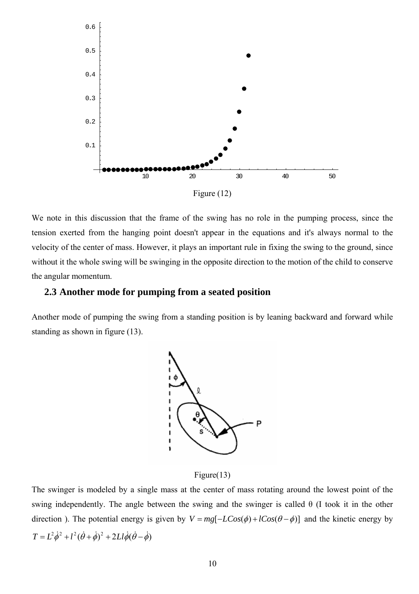

We note in this discussion that the frame of the swing has no role in the pumping process, since the tension exerted from the hanging point doesn't appear in the equations and it's always normal to the velocity of the center of mass. However, it plays an important rule in fixing the swing to the ground, since without it the whole swing will be swinging in the opposite direction to the motion of the child to conserve the angular momentum.

#### **2.3 Another mode for pumping from a seated position**

Another mode of pumping the swing from a standing position is by leaning backward and forward while standing as shown in figure (13).



#### Figure(13)

The swinger is modeled by a single mass at the center of mass rotating around the lowest point of the swing independently. The angle between the swing and the swinger is called  $\theta$  (I took it in the other direction ). The potential energy is given by  $V = mg[-LCos(\phi) + lCos(\theta - \phi)]$  and the kinetic energy by  $T = L^2 \dot{\phi}^2 + l^2 (\dot{\theta} + \dot{\phi})^2 + 2Ll \dot{\phi} (\dot{\theta} - \dot{\phi})$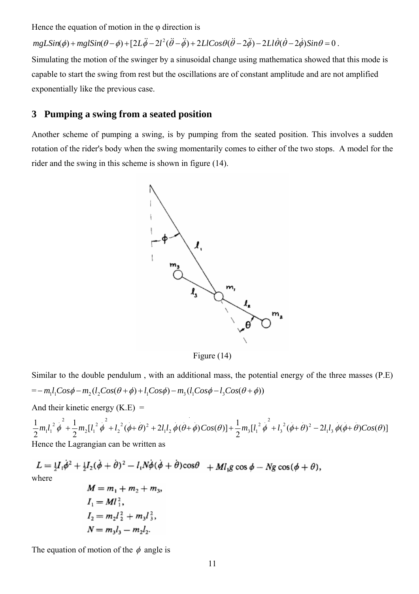Hence the equation of motion in the  $\varphi$  direction is

 $mgLSin(\phi) + mglSin(\theta - \phi) + [2L\ddot{\phi} - 2l^2(\ddot{\theta} - \ddot{\phi}) + 2LlCos\theta(\ddot{\theta} - 2\ddot{\phi}) - 2Ll\dot{\theta}(\dot{\theta} - 2\dot{\phi})Sin\theta = 0$ .

Simulating the motion of the swinger by a sinusoidal change using mathematica showed that this mode is capable to start the swing from rest but the oscillations are of constant amplitude and are not amplified exponentially like the previous case.

#### **3 Pumping a swing from a seated position**

Another scheme of pumping a swing, is by pumping from the seated position. This involves a sudden rotation of the rider's body when the swing momentarily comes to either of the two stops. A model for the rider and the swing in this scheme is shown in figure (14).



Figure (14)

Similar to the double pendulum , with an additional mass, the potential energy of the three masses (P.E)  $= - m_1 l_1 Cos\phi - m_2 ( l_2 Cos(\theta + \phi) + l_1 Cos\phi) - m_3 ( l_1 Cos\phi - l_3 Cos(\theta + \phi))$ 

And their kinetic energy  $(K.E)$  =

 $\frac{1}{2}m_2[l_1^2\dot{\phi}^2 + l_2^2(\phi+\theta)^2 + 2l_1l_2\dot{\phi}(\theta+\phi)Cos(\theta)] + \frac{1}{2}m_3[l_1^2\dot{\phi}^2 + l_3^2(\phi+\theta)^2 - 2l_1l_3\dot{\phi}(\phi+\theta)Cos(\theta)]$ 2  $1 - \frac{2}{1} + \frac{1}{1} - \frac{1}{1} + \frac{2}{1} + \frac{2}{1} + \frac{2}{1} + \frac{2}{1} + \frac{2}{1} + \frac{1}{1} + \frac{2}{1} + \frac{1}{1} + \frac{2}{1} + \frac{2}{1} + \frac{2}{1} + \frac{2}{1} + \frac{2}{1} + \frac{2}{1} + \frac{2}{1} + \frac{2}{1} + \frac{2}{1} + \frac{2}{1} + \frac{2}{1} + \frac{2}{1} + \frac{2}{1} + \frac{2}{1} + \frac{2}{1} + \frac{2}{1} + \frac$  $1^{\iota}3$  $^{2}$   $(1)^{2}$ 3  $\frac{2}{1}$  $3 \mathsf{l}^{\iota}$ . . . .  $1^{\prime}2$  $^{2}$   $(1)^{2}$ 2  $\frac{2}{1}$  $2 \mathsf{L} \mathsf{L}$  $\frac{2}{1}$  $m_1l_1^2 \phi + \frac{1}{2}m_2[l_1^2 \phi + l_2^2(\phi+\theta)^2 + 2l_1l_2 \phi(\theta+\phi)Cos(\theta)] + \frac{1}{2}m_3[l_1^2 \phi + l_3^2(\phi+\theta)^2 - 2l_1l_3 \phi(\phi+\theta)Cos(\theta)]$ Hence the Lagrangian can be written as

 $L = \frac{1}{2}I_1\dot{\phi}^2 + \frac{1}{2}I_2(\dot{\phi} + \dot{\theta})^2 - I_1N\dot{\phi}(\dot{\phi} + \dot{\theta})\cos\theta + MI_1g\cos\phi - Ng\cos(\phi + \theta),$ where  $M = m_1 + m_2 + m_3$ 

$$
M = m_1 + m_2 + m_3
$$
  
\n
$$
I_1 = M l_1^2,
$$
  
\n
$$
I_2 = m_2 l_2^2 + m_3 l_3^2,
$$
  
\n
$$
N = m_3 l_3 - m_2 l_2.
$$

The equation of motion of the  $\phi$  angle is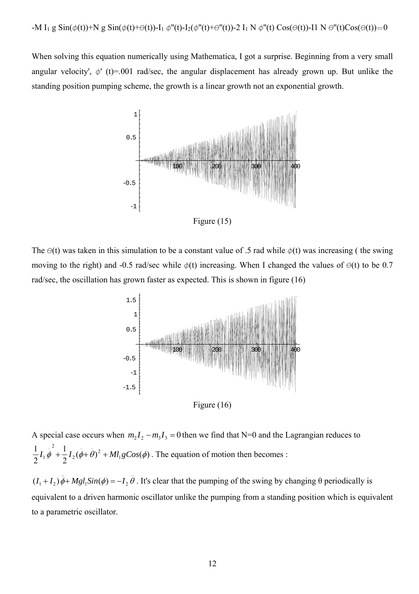When solving this equation numerically using Mathematica, I got a surprise. Beginning from a very small angular velocity',  $\phi'$  (t)=.001 rad/sec, the angular displacement has already grown up. But unlike the standing position pumping scheme, the growth is a linear growth not an exponential growth.



Figure (15)

The  $\Theta(t)$  was taken in this simulation to be a constant value of .5 rad while  $\phi(t)$  was increasing ( the swing moving to the right) and -0.5 rad/sec while  $\phi(t)$  increasing. When I changed the values of  $\Theta(t)$  to be 0.7 rad/sec, the oscillation has grown faster as expected. This is shown in figure (16)



Figure (16)

A special case occurs when  $m_2 I_2 - m_3 I_3 = 0$  then we find that N=0 and the Lagrangian reduces to  $\frac{1}{2}I_2(\phi+\theta)^2 + M l_1 g Cos(\phi)$ 2 1 1  $\frac{1}{4}$  .  $\frac{1}{4}$  . 2 2  $\cdot$ <sup>2</sup>  $I_1 \phi + \frac{1}{2}I_2(\phi + \theta)^2 + Ml_1 gCos(\phi)$ . The equation of motion then becomes :

 $\ddot{\theta}$ . It's clear that the pumping of the swing by changing  $\theta$  periodically is equivalent to a driven harmonic oscillator unlike the pumping from a standing position which is equivalent to a parametric oscillator.  $1^{|\mathcal{U}(\psi)| - 1}$  $(I_1 + I_2)\ddot{\phi} + Mgl_1Sin(\phi) = -I_2\ddot{\theta}$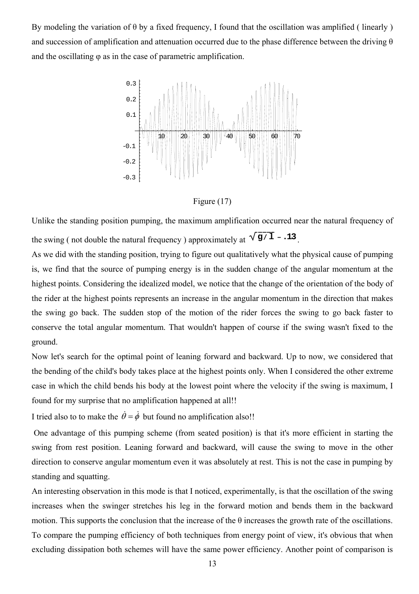By modeling the variation of  $\theta$  by a fixed frequency, I found that the oscillation was amplified (linearly ) and succession of amplification and attenuation occurred due to the phase difference between the driving  $\theta$ and the oscillating  $\varphi$  as in the case of parametric amplification.



Figure (17)

Unlike the standing position pumping, the maximum amplification occurred near the natural frequency of the swing ( not double the natural frequency ) approximately at  $\sqrt{g/1}$  – **13**.

As we did with the standing position, trying to figure out qualitatively what the physical cause of pumping is, we find that the source of pumping energy is in the sudden change of the angular momentum at the highest points. Considering the idealized model, we notice that the change of the orientation of the body of the rider at the highest points represents an increase in the angular momentum in the direction that makes the swing go back. The sudden stop of the motion of the rider forces the swing to go back faster to conserve the total angular momentum. That wouldn't happen of course if the swing wasn't fixed to the ground.

Now let's search for the optimal point of leaning forward and backward. Up to now, we considered that the bending of the child's body takes place at the highest points only. When I considered the other extreme case in which the child bends his body at the lowest point where the velocity if the swing is maximum, I found for my surprise that no amplification happened at all!!

I tried also to to make the  $\dot{\theta} = \dot{\phi}$  but found no amplification also!!

One advantage of this pumping scheme (from seated position) is that it's more efficient in starting the swing from rest position. Leaning forward and backward, will cause the swing to move in the other direction to conserve angular momentum even it was absolutely at rest. This is not the case in pumping by standing and squatting.

An interesting observation in this mode is that I noticed, experimentally, is that the oscillation of the swing increases when the swinger stretches his leg in the forward motion and bends them in the backward motion. This supports the conclusion that the increase of the  $\theta$  increases the growth rate of the oscillations. To compare the pumping efficiency of both techniques from energy point of view, it's obvious that when excluding dissipation both schemes will have the same power efficiency. Another point of comparison is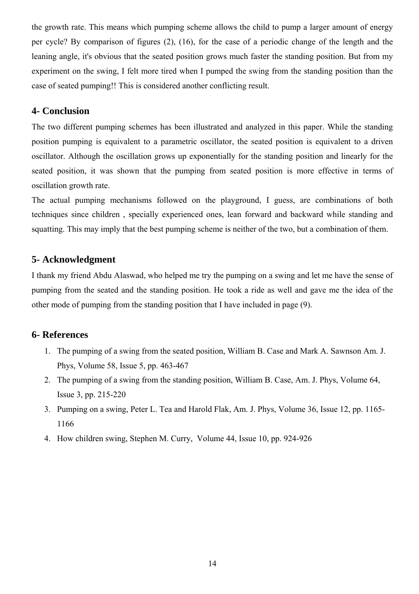the growth rate. This means which pumping scheme allows the child to pump a larger amount of energy per cycle? By comparison of figures (2), (16), for the case of a periodic change of the length and the leaning angle, it's obvious that the seated position grows much faster the standing position. But from my experiment on the swing, I felt more tired when I pumped the swing from the standing position than the case of seated pumping!! This is considered another conflicting result.

#### **4- Conclusion**

The two different pumping schemes has been illustrated and analyzed in this paper. While the standing position pumping is equivalent to a parametric oscillator, the seated position is equivalent to a driven oscillator. Although the oscillation grows up exponentially for the standing position and linearly for the seated position, it was shown that the pumping from seated position is more effective in terms of oscillation growth rate.

The actual pumping mechanisms followed on the playground, I guess, are combinations of both techniques since children , specially experienced ones, lean forward and backward while standing and squatting. This may imply that the best pumping scheme is neither of the two, but a combination of them.

#### **5- Acknowledgment**

I thank my friend Abdu Alaswad, who helped me try the pumping on a swing and let me have the sense of pumping from the seated and the standing position. He took a ride as well and gave me the idea of the other mode of pumping from the standing position that I have included in page (9).

#### **6- References**

- 1. The pumping of a swing from the seated position, William B. Case and Mark A. Sawnson Am. J. Phys, Volume 58, Issue 5, pp. 463-467
- 2. The pumping of a swing from the standing position, William B. Case, Am. J. Phys, Volume 64, Issue 3, pp. 215-220
- 3. Pumping on a swing, Peter L. Tea and Harold Flak, Am. J. Phys, Volume 36, Issue 12, pp. 1165- 1166
- 4. How children swing, Stephen M. Curry, Volume 44, Issue 10, pp. 924-926